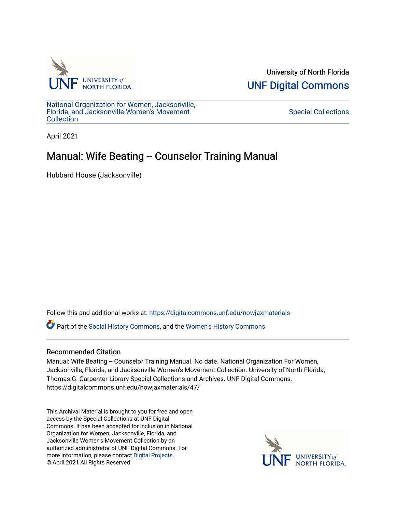

University of North Florida [UNF Digital Commons](https://digitalcommons.unf.edu/) 

[National Organization for Women, Jacksonville,](https://digitalcommons.unf.edu/nowjaxmaterials) [Florida, and Jacksonville Women's Movement](https://digitalcommons.unf.edu/nowjaxmaterials) **Collection** 

[Special Collections](https://digitalcommons.unf.edu/special_collections) 

April 2021

## Manual: Wife Beating -- Counselor Training Manual

Hubbard House (Jacksonville)

Follow this and additional works at: [https://digitalcommons.unf.edu/nowjaxmaterials](https://digitalcommons.unf.edu/nowjaxmaterials?utm_source=digitalcommons.unf.edu%2Fnowjaxmaterials%2F47&utm_medium=PDF&utm_campaign=PDFCoverPages) 

Part of the [Social History Commons](http://network.bepress.com/hgg/discipline/506?utm_source=digitalcommons.unf.edu%2Fnowjaxmaterials%2F47&utm_medium=PDF&utm_campaign=PDFCoverPages), and the [Women's History Commons](http://network.bepress.com/hgg/discipline/507?utm_source=digitalcommons.unf.edu%2Fnowjaxmaterials%2F47&utm_medium=PDF&utm_campaign=PDFCoverPages)

## Recommended Citation

Manual: Wife Beating -- Counselor Training Manual. No date. National Organization For Women, Jacksonville, Florida, and Jacksonville Women's Movement Collection. University of North Florida, Thomas G. Carpenter Library Special Collections and Archives. UNF Digital Commons, https://digitalcommons.unf.edu/nowjaxmaterials/47/

This Archival Material is brought to you for free and open access by the Special Collections at UNF Digital Commons. It has been accepted for inclusion in National Organization for Women, Jacksonville, Florida, and Jacksonville Women's Movement Collection by an authorized administrator of UNF Digital Commons. For more information, please contact [Digital Projects](mailto:lib-digital@unf.edu). © April 2021 All Rights Reserved

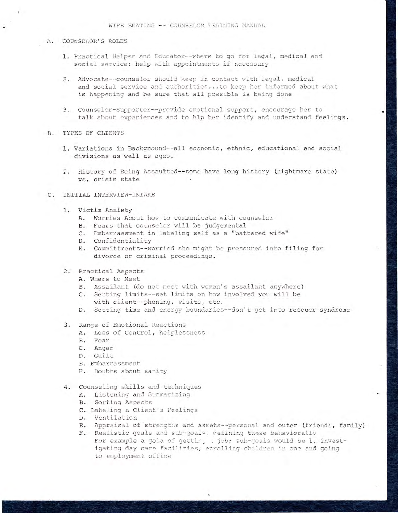- A. COUNSELOR'S ROLES
	- 1. Practical Helper and Educator--where to go for legal, medical and social service; help with appointments if necessary
	- 2. Advocate--counselor should keep in contact with legal, medical and social service and authorities... to keep her informed about what is happening and be sure that all possible is being done
	- 3. Counselor-Supporter--provide emotional support, encourage her to talk about experiences and to hlp her identify and understand feelings.
- **B. TYPES OF CLIENTS** 
	- 1. Variations in Background--all economic, ethnic, educational and social divisions as well as ages.
	- 2. History of Being Assaulted--some have long history (nightmare state) vs. crisis state
- INITIAL INTERVIEW-INTAKE  $C_{\bullet}$ 
	- 1. Victim Anxiety
		- A. Worries About how to communicate with counselor
		- B. Fears that counselor will be judgemental
		- C. Embarrassment in labeling self as a "battered wife"
		- D. Confidentiality
		- E. Committments--worried she might be pressured into filing for divorce or criminal proceedings.
	- 2. Practical Aspects
		- A. Where to Meet
		- B. Assailant (do not meet with woman's assailant anywhere)
		- C. Setting limits--set limits on how involved you will be with client--phoning, visits, etc.
		- D. Setting time and energy boundaries -- don't get into rescuer syndrome
	- 3. Range of Emotional Reactions
		- A. Loss of Control, helplessness
		- B. Fear
		- C. Anger
		- D. Guilt
		- E. Embarrassment
		- F. Doubts about sanity
	- 4. Counseling skills and techniques
		- A. Listening and Summarizing
		- **B.** Sorting Aspects
		- C. Labeling a Client's Feelings
		- D. Ventilation
		- E. Appraisal of strengths and assets--personal and outer (friends, family)
		- F. Realistic goals and sub-goals. defining these behaviorally For example a gola of gettir, . job; sub-goals would be 1. investigating day care facilities; enrolling children in one and going to employment office